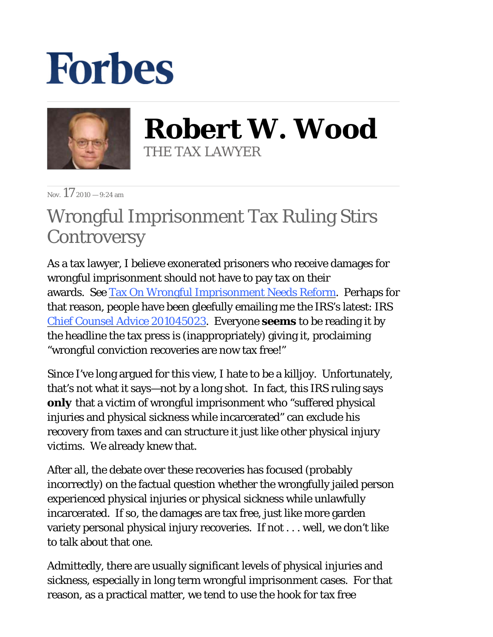## **Forbes**



**Robert W. Wood** THE TAX LAWYER

Nov.  $17_{2010}$  = 9:24 am

## Wrongful Imprisonment Tax Ruling Stirs **Controversy**

As a tax lawyer, I believe exonerated prisoners who receive damages for wrongful imprisonment should not have to pay tax on their awards. Se[e Tax On Wrongful Imprisonment Needs Reform.](http://blogs.forbes.com/robertwood/2010/10/28/tax-on-wrongful-imprisonment-needs-reform/) Perhaps for that reason, people have been gleefully emailing me the IRS's latest: IRS [Chief Counsel Advice 201045023.](http://www.woodporter.com/Publications/Articles/pdf/CCA_201045023.pdf) Everyone *seems* to be reading it by the headline the tax press is (inappropriately) giving it, proclaiming "wrongful conviction recoveries are now tax free!"

Since I've long argued for this view, I hate to be a killjoy. Unfortunately, that's not what it says—not by a long shot. In fact, this IRS ruling says *only* that a victim of wrongful imprisonment who "suffered physical injuries and physical sickness while incarcerated" can exclude his recovery from taxes and can structure it just like other physical injury victims. We already knew that.

After all, the debate over these recoveries has focused (probably incorrectly) on the factual question whether the wrongfully jailed person experienced physical injuries or physical sickness while unlawfully incarcerated. If so, the damages are tax free, just like more garden variety personal physical injury recoveries. If not . . . well, we don't like to talk about that one.

Admittedly, there are usually significant levels of physical injuries and sickness, especially in long term wrongful imprisonment cases. For that reason, as a practical matter, we tend to use the hook for tax free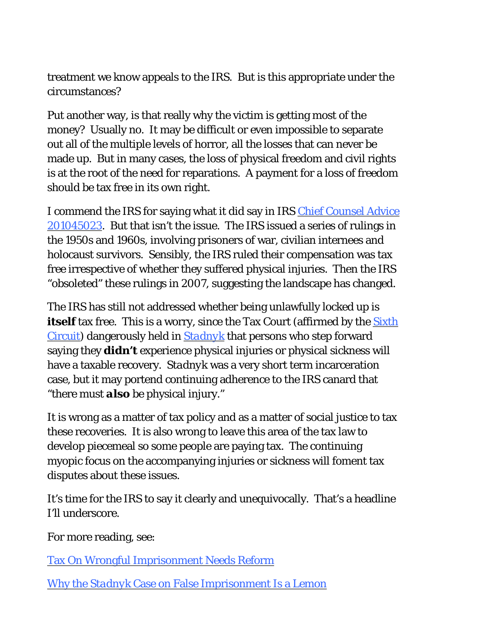treatment we know appeals to the IRS. But is this appropriate under the circumstances?

Put another way, is that really why the victim is getting most of the money? Usually no. It may be difficult or even impossible to separate out all of the multiple levels of horror, all the losses that can never be made up. But in many cases, the loss of physical freedom and civil rights is at the root of the need for reparations. A payment for a loss of freedom should be tax free in its own right.

I commend the IRS for saying what it did say in IR[S Chief Counsel Advice](http://www.woodporter.com/Publications/Articles/pdf/CCA_201045023.pdf)  [201045023.](http://www.woodporter.com/Publications/Articles/pdf/CCA_201045023.pdf) But that isn't the issue. The IRS issued a series of rulings in the 1950s and 1960s, involving prisoners of war, civilian internees and holocaust survivors. Sensibly, the IRS ruled their compensation was tax free irrespective of whether they suffered physical injuries. Then the IRS "obsoleted" these rulings in 2007, suggesting the landscape has changed.

The IRS has still not addressed whether being unlawfully locked up is *itself* tax free. This is a worry, since the Tax Court (affirmed by the **Sixth** [Circuit\)](http://scholar.google.com/scholar_case?case=8998496076319003166&hl=en&as_sdt=2&as_vis=1&oi=scholarr) dangerously held in *[Stadnyk](http://scholar.google.com/scholar_case?case=13128607598449651731&hl=en&as_sdt=2&as_vis=1&oi=scholarr)* that persons who step forward saying they *didn't* experience physical injuries or physical sickness will have a taxable recovery. *Stadnyk* was a very short term incarceration case, but it may portend continuing adherence to the IRS canard that "there must *also* be physical injury."

It is wrong as a matter of tax policy and as a matter of social justice to tax these recoveries. It is also wrong to leave this area of the tax law to develop piecemeal so some people are paying tax. The continuing myopic focus on the accompanying injuries or sickness will foment tax disputes about these issues.

It's time for the IRS to say it clearly and unequivocally. That's a headline I'll underscore.

For more reading, see:

[Tax On Wrongful Imprisonment Needs Reform](http://blogs.forbes.com/robertwood/2010/10/28/tax-on-wrongful-imprisonment-needs-reform/)

[Why the](http://www.woodporter.com/Publications/Articles/pdf/Why_the_Stadnyk_Case_on_False_Imprisonment_Is_a_Lemon.pdf) *Stadnyk* [Case on False Imprisonment Is a Lemon](http://www.woodporter.com/Publications/Articles/pdf/Why_the_Stadnyk_Case_on_False_Imprisonment_Is_a_Lemon.pdf)